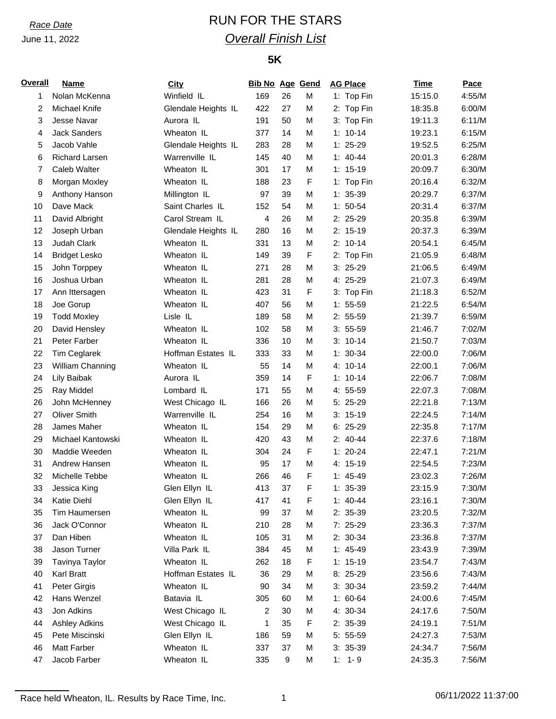# *Race Date* RUN FOR THE STARS *Overall Finish List*

## **5K**

| <b>Overall</b> | <b>Name</b>           | <b>City</b>         | <b>Bib No Age Gend</b> |    |   | <b>AG Place</b> | <b>Time</b> | Pace   |
|----------------|-----------------------|---------------------|------------------------|----|---|-----------------|-------------|--------|
| 1              | Nolan McKenna         | Winfield IL         | 169                    | 26 | M | 1: Top Fin      | 15:15.0     | 4:55/M |
| 2              | Michael Knife         | Glendale Heights IL | 422                    | 27 | M | 2: Top Fin      | 18:35.8     | 6:00/M |
| 3              | Jesse Navar           | Aurora IL           | 191                    | 50 | M | 3: Top Fin      | 19:11.3     | 6:11/M |
| 4              | <b>Jack Sanders</b>   | Wheaton IL          | 377                    | 14 | M | $1: 10-14$      | 19:23.1     | 6:15/M |
| 5              | Jacob Vahle           | Glendale Heights IL | 283                    | 28 | M | $1: 25-29$      | 19:52.5     | 6:25/M |
| 6              | <b>Richard Larsen</b> | Warrenville IL      | 145                    | 40 | M | $1: 40 - 44$    | 20:01.3     | 6:28/M |
| 7              | Caleb Walter          | Wheaton IL          | 301                    | 17 | M | $1: 15-19$      | 20:09.7     | 6:30/M |
| 8              | Morgan Moxley         | Wheaton IL          | 188                    | 23 | F | 1: Top Fin      | 20:16.4     | 6:32/M |
| 9              | Anthony Hanson        | Millington IL       | 97                     | 39 | M | $1: 35-39$      | 20:29.7     | 6:37/M |
| 10             | Dave Mack             | Saint Charles IL    | 152                    | 54 | M | $1: 50-54$      | 20:31.4     | 6:37/M |
| 11             | David Albright        | Carol Stream IL     | 4                      | 26 | M | 2: 25-29        | 20:35.8     | 6:39/M |
| 12             | Joseph Urban          | Glendale Heights IL | 280                    | 16 | M | $2: 15-19$      | 20:37.3     | 6:39/M |
| 13             | Judah Clark           | Wheaton IL          | 331                    | 13 | M | $2: 10-14$      | 20:54.1     | 6:45/M |
| 14             | <b>Bridget Lesko</b>  | Wheaton IL          | 149                    | 39 | F | 2: Top Fin      | 21:05.9     | 6:48/M |
| 15             | John Torppey          | Wheaton IL          | 271                    | 28 | M | $3:25-29$       | 21:06.5     | 6:49/M |
| 16             | Joshua Urban          | Wheaton IL          | 281                    | 28 | M | 4: 25-29        | 21:07.3     | 6:49/M |
| 17             | Ann Ittersagen        | Wheaton IL          | 423                    | 31 | F | 3: Top Fin      | 21:18.3     | 6:52/M |
| 18             | Joe Gorup             | Wheaton IL          | 407                    | 56 | M | $1: 55-59$      | 21:22.5     | 6:54/M |
| 19             | <b>Todd Moxley</b>    | Lisle IL            | 189                    | 58 | M | $2: 55-59$      | 21:39.7     | 6:59/M |
| 20             | David Hensley         | Wheaton IL          | 102                    | 58 | M | $3: 55-59$      | 21:46.7     | 7:02/M |
| 21             | Peter Farber          | Wheaton IL          | 336                    | 10 | M | $3: 10-14$      | 21:50.7     | 7:03/M |
| 22             | <b>Tim Ceglarek</b>   | Hoffman Estates IL  | 333                    | 33 | M | $1: 30-34$      | 22:00.0     | 7:06/M |
| 23             | William Channing      | Wheaton IL          | 55                     | 14 | M | 4: 10-14        | 22:00.1     | 7:06/M |
| 24             | Lily Baibak           | Aurora IL           | 359                    | 14 | F | $1: 10-14$      | 22:06.7     | 7:08/M |
| 25             | Ray Middel            | Lombard IL          | 171                    | 55 | M | 4: 55-59        | 22:07.3     | 7:08/M |
| 26             | John McHenney         | West Chicago IL     | 166                    | 26 | M | 5: 25-29        | 22:21.8     | 7:13/M |
| 27             | <b>Oliver Smith</b>   | Warrenville IL      | 254                    | 16 | M | $3: 15-19$      | 22:24.5     | 7:14/M |
| 28             | James Maher           | Wheaton IL          | 154                    | 29 | M | $6: 25-29$      | 22:35.8     | 7:17/M |
| 29             | Michael Kantowski     | Wheaton IL          | 420                    | 43 | M | $2: 40-44$      | 22:37.6     | 7:18/M |
| 30             | Maddie Weeden         | Wheaton IL          | 304                    | 24 | F | $1: 20-24$      | 22:47.1     | 7:21/M |
| 31             | Andrew Hansen         | Wheaton IL          | 95                     | 17 | M | 4: 15-19        | 22:54.5     | 7:23/M |
| 32             | Michelle Tebbe        | Wheaton IL          | 266                    | 46 | F | $1: 45-49$      | 23:02.3     | 7:26/M |
| 33             | Jessica King          | Glen Ellyn IL       | 413                    | 37 | F | $1: 35-39$      | 23:15.9     | 7:30/M |
| 34             | Katie Diehl           | Glen Ellyn IL       | 417                    | 41 | F | $1: 40-44$      | 23:16.1     | 7:30/M |
| 35             | Tim Haumersen         | Wheaton IL          | 99                     | 37 | M | $2: 35-39$      | 23:20.5     | 7:32/M |
| 36             | Jack O'Connor         | Wheaton IL          | 210                    | 28 | M | 7: 25-29        | 23:36.3     | 7:37/M |
| 37             | Dan Hiben             | Wheaton IL          | 105                    | 31 | M | 2: 30-34        | 23:36.8     | 7:37/M |
| 38             | Jason Turner          | Villa Park IL       | 384                    | 45 | M | $1: 45-49$      | 23:43.9     | 7:39/M |
| 39             | Tavinya Taylor        | Wheaton IL          | 262                    | 18 | F | $1: 15-19$      | 23:54.7     | 7:43/M |
| 40             | Karl Bratt            | Hoffman Estates IL  | 36                     | 29 | M | 8: 25-29        | 23:56.6     | 7:43/M |
| 41             | Peter Girgis          | Wheaton IL          | 90                     | 34 | M | $3: 30-34$      | 23:59.2     | 7:44/M |
| 42             | Hans Wenzel           | Batavia IL          | 305                    | 60 | M | $1: 60-64$      | 24:00.6     | 7:45/M |
| 43             | Jon Adkins            | West Chicago IL     | 2                      | 30 | M | 4: 30-34        | 24:17.6     | 7:50/M |
| 44             | <b>Ashley Adkins</b>  | West Chicago IL     | 1                      | 35 | F | 2: 35-39        | 24:19.1     | 7:51/M |
| 45             | Pete Miscinski        | Glen Ellyn IL       | 186                    | 59 | M | 5: 55-59        | 24:27.3     | 7:53/M |
| 46             | Matt Farber           | Wheaton IL          | 337                    | 37 | M | $3: 35-39$      | 24:34.7     | 7:56/M |
| 47             | Jacob Farber          | Wheaton IL          | 335                    | 9  | M | $1: 1 - 9$      | 24:35.3     | 7:56/M |
|                |                       |                     |                        |    |   |                 |             |        |

Race held Wheaton, IL. Results by Race Time, Inc. 1 06/11/2022 11:37:00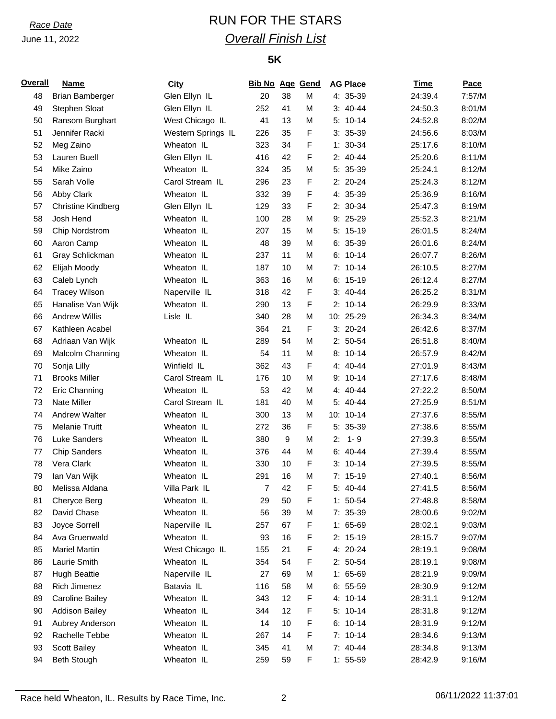# *Race Date* RUN FOR THE STARS *Overall Finish List*

## **5K**

| <b>Overall</b> | <b>Name</b>               | <b>City</b>        | <b>Bib No Age Gend</b> |    |   | <b>AG Place</b> | <b>Time</b> | Pace   |
|----------------|---------------------------|--------------------|------------------------|----|---|-----------------|-------------|--------|
| 48             | <b>Brian Bamberger</b>    | Glen Ellyn IL      | 20                     | 38 | M | 4: 35-39        | 24:39.4     | 7:57/M |
| 49             | Stephen Sloat             | Glen Ellyn IL      | 252                    | 41 | M | $3: 40-44$      | 24:50.3     | 8:01/M |
| 50             | Ransom Burghart           | West Chicago IL    | 41                     | 13 | M | $5: 10-14$      | 24:52.8     | 8:02/M |
| 51             | Jennifer Racki            | Western Springs IL | 226                    | 35 | F | $3: 35-39$      | 24:56.6     | 8:03/M |
| 52             | Meg Zaino                 | Wheaton IL         | 323                    | 34 | F | $1: 30-34$      | 25:17.6     | 8:10/M |
| 53             | Lauren Buell              | Glen Ellyn IL      | 416                    | 42 | F | $2: 40-44$      | 25:20.6     | 8:11/M |
| 54             | Mike Zaino                | Wheaton IL         | 324                    | 35 | M | 5: 35-39        | 25:24.1     | 8:12/M |
| 55             | Sarah Volle               | Carol Stream IL    | 296                    | 23 | F | $2: 20-24$      | 25:24.3     | 8:12/M |
| 56             | Abby Clark                | Wheaton IL         | 332                    | 39 | F | 4: 35-39        | 25:36.9     | 8:16/M |
| 57             | <b>Christine Kindberg</b> | Glen Ellyn IL      | 129                    | 33 | F | 2: 30-34        | 25:47.3     | 8:19/M |
| 58             | Josh Hend                 | Wheaton IL         | 100                    | 28 | M | 9: 25-29        | 25:52.3     | 8:21/M |
| 59             | Chip Nordstrom            | Wheaton IL         | 207                    | 15 | M | $5: 15-19$      | 26:01.5     | 8:24/M |
| 60             | Aaron Camp                | Wheaton IL         | 48                     | 39 | M | $6: 35-39$      | 26:01.6     | 8:24/M |
| 61             | Gray Schlickman           | Wheaton IL         | 237                    | 11 | M | $6: 10-14$      | 26:07.7     | 8:26/M |
| 62             | Elijah Moody              | Wheaton IL         | 187                    | 10 | M | $7: 10-14$      | 26:10.5     | 8:27/M |
| 63             | Caleb Lynch               | Wheaton IL         | 363                    | 16 | M | $6: 15-19$      | 26:12.4     | 8:27/M |
| 64             | <b>Tracey Wilson</b>      | Naperville IL      | 318                    | 42 | F | $3: 40-44$      | 26:25.2     | 8:31/M |
| 65             | Hanalise Van Wijk         | Wheaton IL         | 290                    | 13 | F | $2: 10-14$      | 26:29.9     | 8:33/M |
| 66             | <b>Andrew Willis</b>      | Lisle IL           | 340                    | 28 | M | 10: 25-29       | 26:34.3     | 8:34/M |
| 67             | Kathleen Acabel           |                    | 364                    | 21 | F | $3: 20-24$      | 26:42.6     | 8:37/M |
| 68             | Adriaan Van Wijk          | Wheaton IL         | 289                    | 54 | M | $2: 50-54$      | 26:51.8     | 8:40/M |
| 69             | Malcolm Channing          | Wheaton IL         | 54                     | 11 | M | $8:10-14$       | 26:57.9     | 8:42/M |
| 70             | Sonja Lilly               | Winfield IL        | 362                    | 43 | F | 4: 40-44        | 27:01.9     | 8:43/M |
| 71             | <b>Brooks Miller</b>      | Carol Stream IL    | 176                    | 10 | M | $9: 10-14$      | 27:17.6     | 8:48/M |
| 72             | Eric Channing             | Wheaton IL         | 53                     | 42 | M | 4: 40-44        | 27:22.2     | 8:50/M |
| 73             | Nate Miller               | Carol Stream IL    | 181                    | 40 | M | 5: 40-44        | 27:25.9     | 8:51/M |
| 74             | Andrew Walter             | Wheaton IL         | 300                    | 13 | M | 10: 10-14       | 27:37.6     | 8:55/M |
| 75             | <b>Melanie Truitt</b>     | Wheaton IL         | 272                    | 36 | F | 5: 35-39        | 27:38.6     | 8:55/M |
| 76             | <b>Luke Sanders</b>       | Wheaton IL         | 380                    | 9  | M | $1 - 9$<br>2:   | 27:39.3     | 8:55/M |
| 77             | <b>Chip Sanders</b>       | Wheaton IL         | 376                    | 44 | M | $6: 40-44$      | 27:39.4     | 8:55/M |
| 78             | Vera Clark                | Wheaton IL         | 330                    | 10 | F | $3: 10-14$      | 27:39.5     | 8:55/M |
| 79             | Ian Van Wijk              | Wheaton IL         | 291                    | 16 | M | $7: 15-19$      | 27:40.1     | 8:56/M |
| 80             | Melissa Aldana            | Villa Park IL      | $\boldsymbol{7}$       | 42 | F | 5: 40-44        | 27:41.5     | 8:56/M |
| 81             | Cheryce Berg              | Wheaton IL         | 29                     | 50 | F | $1: 50-54$      | 27:48.8     | 8:58/M |
| 82             | David Chase               | Wheaton IL         | 56                     | 39 | M | 7: 35-39        | 28:00.6     | 9:02/M |
| 83             | Joyce Sorrell             | Naperville IL      | 257                    | 67 | F | $1: 65-69$      | 28:02.1     | 9:03/M |
| 84             | Ava Gruenwald             | Wheaton IL         | 93                     | 16 | F | $2: 15-19$      | 28:15.7     | 9:07/M |
| 85             | <b>Mariel Martin</b>      | West Chicago IL    | 155                    | 21 | F | 4: 20-24        | 28:19.1     | 9:08/M |
| 86             | Laurie Smith              | Wheaton IL         | 354                    | 54 | F | $2: 50-54$      | 28:19.1     | 9:08/M |
| 87             | <b>Hugh Beattie</b>       | Naperville IL      | 27                     | 69 | M | $1: 65-69$      | 28:21.9     | 9:09/M |
| 88             | Rich Jimenez              | Batavia IL         | 116                    | 58 | M | $6: 55-59$      | 28:30.9     | 9:12/M |
| 89             | <b>Caroline Bailey</b>    | Wheaton IL         | 343                    | 12 | F | 4: 10-14        | 28:31.1     | 9:12/M |
| 90             | <b>Addison Bailey</b>     | Wheaton IL         | 344                    | 12 | F | $5: 10-14$      | 28:31.8     | 9:12/M |
| 91             | Aubrey Anderson           | Wheaton IL         | 14                     | 10 | F | $6: 10-14$      | 28:31.9     | 9:12/M |
| 92             | Rachelle Tebbe            | Wheaton IL         | 267                    | 14 | F | $7: 10-14$      | 28:34.6     | 9:13/M |
| 93             | Scott Bailey              | Wheaton IL         | 345                    | 41 | M | 7: 40-44        | 28:34.8     | 9:13/M |
| 94             | <b>Beth Stough</b>        | Wheaton IL         | 259                    | 59 | F | $1: 55-59$      | 28:42.9     | 9:16/M |

Race held Wheaton, IL. Results by Race Time, Inc. 2 06/11/2022 11:37:01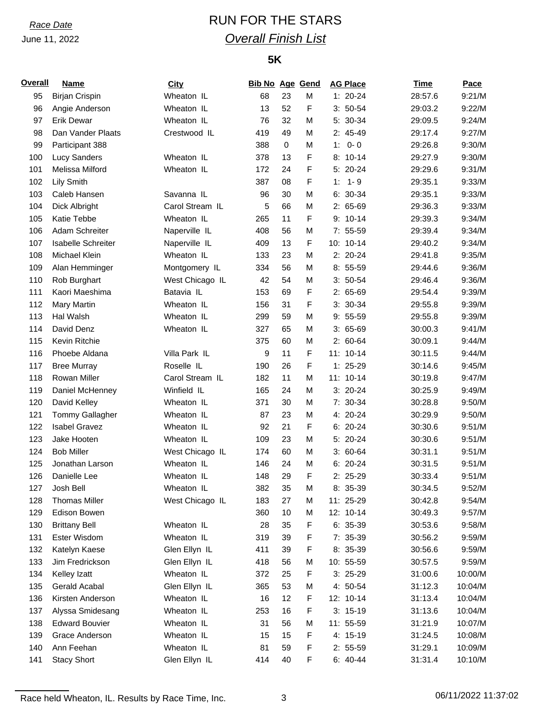# *Race Date* RUN FOR THE STARS *Overall Finish List*

## **5K**

| <b>Overall</b> | <b>Name</b>               | City                        | <b>Bib No Age Gend</b> |             |        | <b>AG Place</b> | <b>Time</b> | Pace    |
|----------------|---------------------------|-----------------------------|------------------------|-------------|--------|-----------------|-------------|---------|
| 95             | <b>Birjan Crispin</b>     | Wheaton IL                  | 68                     | 23          | M      | $1: 20-24$      | 28:57.6     | 9:21/M  |
| 96             | Angie Anderson            | Wheaton IL                  | 13                     | 52          | F      | $3: 50-54$      | 29:03.2     | 9:22/M  |
| 97             | <b>Erik Dewar</b>         | Wheaton IL                  | 76                     | 32          | M      | 5: 30-34        | 29:09.5     | 9:24/M  |
| 98             | Dan Vander Plaats         | Crestwood IL                | 419                    | 49          | M      | 2: 45-49        | 29:17.4     | 9:27/M  |
| 99             | Participant 388           |                             | 388                    | $\mathbf 0$ | M      | $0 - 0$<br>1:   | 29:26.8     | 9:30/M  |
| 100            | <b>Lucy Sanders</b>       | Wheaton IL                  | 378                    | 13          | F      | $8: 10-14$      | 29:27.9     | 9:30/M  |
| 101            | Melissa Milford           | Wheaton IL                  | 172                    | 24          | F      | 5: 20-24        | 29:29.6     | 9:31/M  |
| 102            | Lily Smith                |                             | 387                    | 08          | F      | $1 - 9$<br>1:   | 29:35.1     | 9:33/M  |
| 103            | Caleb Hansen              | Savanna IL                  | 96                     | 30          | M      | $6: 30-34$      | 29:35.1     | 9:33/M  |
| 104            | Dick Albright             | Carol Stream IL             | 5                      | 66          | M      | $2: 65-69$      | 29:36.3     | 9:33/M  |
| 105            | Katie Tebbe               | Wheaton IL                  | 265                    | 11          | F      | $9: 10-14$      | 29:39.3     | 9:34/M  |
| 106            | Adam Schreiter            | Naperville IL               | 408                    | 56          | M      | $7: 55-59$      | 29:39.4     | 9:34/M  |
| 107            | <b>Isabelle Schreiter</b> | Naperville IL               | 409                    | 13          | F      | 10: 10-14       | 29:40.2     | 9:34/M  |
| 108            | Michael Klein             | Wheaton IL                  | 133                    | 23          | M      | 2: 20-24        | 29:41.8     | 9:35/M  |
| 109            | Alan Hemminger            | Montgomery IL               | 334                    | 56          | M      | $8:55-59$       | 29:44.6     | 9:36/M  |
| 110            | Rob Burghart              | West Chicago IL             | 42                     | 54          | M      | $3: 50-54$      | 29:46.4     | 9:36/M  |
| 111            | Kaori Maeshima            | Batavia IL                  | 153                    | 69          | F      | $2: 65-69$      | 29:54.4     | 9:39/M  |
| 112            | Mary Martin               | Wheaton IL                  | 156                    | 31          | F      | $3: 30-34$      | 29:55.8     | 9:39/M  |
| 113            | Hal Walsh                 | Wheaton IL                  | 299                    | 59          | M      | $9:55-59$       | 29:55.8     | 9:39/M  |
| 114            | David Denz                | Wheaton IL                  | 327                    | 65          | M      | $3:65-69$       | 30:00.3     | 9:41/M  |
| 115            | Kevin Ritchie             |                             | 375                    | 60          | M      | $2: 60-64$      | 30:09.1     |         |
|                |                           |                             |                        |             |        |                 |             | 9:44/M  |
| 116            | Phoebe Aldana             | Villa Park IL<br>Roselle IL | 9                      | 11          | F      | 11: 10-14       | 30:11.5     | 9:44/M  |
| 117            | <b>Bree Murray</b>        |                             | 190                    | 26<br>11    | F<br>M | $1: 25-29$      | 30:14.6     | 9:45/M  |
| 118            | Rowan Miller              | Carol Stream IL             | 182                    |             |        | 11: 10-14       | 30:19.8     | 9:47/M  |
| 119            | Daniel McHenney           | Winfield IL                 | 165                    | 24          | M      | $3: 20-24$      | 30:25.9     | 9:49/M  |
| 120            | David Kelley              | Wheaton IL                  | 371                    | 30          | M      | 7: 30-34        | 30:28.8     | 9:50/M  |
| 121            | Tommy Gallagher           | Wheaton IL                  | 87                     | 23          | M      | 4: 20-24        | 30:29.9     | 9:50/M  |
| 122            | <b>Isabel Gravez</b>      | Wheaton IL                  | 92                     | 21          | F      | $6: 20-24$      | 30:30.6     | 9:51/M  |
| 123            | Jake Hooten               | Wheaton IL                  | 109                    | 23          | M      | 5: 20-24        | 30:30.6     | 9:51/M  |
| 124            | <b>Bob Miller</b>         | West Chicago IL             | 174                    | 60          | M      | $3:60-64$       | 30:31.1     | 9:51/M  |
| 125            | Jonathan Larson           | Wheaton IL                  | 146                    | 24          | M      | $6: 20-24$      | 30:31.5     | 9:51/M  |
| 126            | Danielle Lee              | Wheaton IL                  | 148                    | 29          | F      | 2: 25-29        | 30:33.4     | 9:51/M  |
| 127            | Josh Bell                 | Wheaton IL                  | 382                    | 35          | M      | 8: 35-39        | 30:34.5     | 9:52/M  |
| 128            | <b>Thomas Miller</b>      | West Chicago IL             | 183                    | 27          | M      | 11: 25-29       | 30:42.8     | 9:54/M  |
| 129            | Edison Bowen              |                             | 360                    | 10          | M      | 12: 10-14       | 30:49.3     | 9:57/M  |
| 130            | <b>Brittany Bell</b>      | Wheaton IL                  | 28                     | 35          | F      | $6: 35-39$      | 30:53.6     | 9:58/M  |
| 131            | Ester Wisdom              | Wheaton IL                  | 319                    | 39          | F      | 7: 35-39        | 30:56.2     | 9:59/M  |
| 132            | Katelyn Kaese             | Glen Ellyn IL               | 411                    | 39          | F      | 8: 35-39        | 30:56.6     | 9:59/M  |
| 133            | Jim Fredrickson           | Glen Ellyn IL               | 418                    | 56          | M      | 10: 55-59       | 30:57.5     | 9:59/M  |
| 134            | Kelley Izatt              | Wheaton IL                  | 372                    | 25          | F      | $3:25-29$       | 31:00.6     | 10:00/M |
| 135            | Gerald Acabal             | Glen Ellyn IL               | 365                    | 53          | M      | 4: 50-54        | 31:12.3     | 10:04/M |
| 136            | Kirsten Anderson          | Wheaton IL                  | 16                     | 12          | F      | 12: 10-14       | 31:13.4     | 10:04/M |
| 137            | Alyssa Smidesang          | Wheaton IL                  | 253                    | 16          | F      | $3: 15-19$      | 31:13.6     | 10:04/M |
| 138            | <b>Edward Bouvier</b>     | Wheaton IL                  | 31                     | 56          | M      | 11: 55-59       | 31:21.9     | 10:07/M |
| 139            | Grace Anderson            | Wheaton IL                  | 15                     | 15          | F      | 4: 15-19        | 31:24.5     | 10:08/M |
| 140            | Ann Feehan                | Wheaton IL                  | 81                     | 59          | F      | $2: 55-59$      | 31:29.1     | 10:09/M |
| 141            | <b>Stacy Short</b>        | Glen Ellyn IL               | 414                    | 40          | F      | $6: 40-44$      | 31:31.4     | 10:10/M |

Race held Wheaton, IL. Results by Race Time, Inc. 2008 3 06/11/2022 11:37:02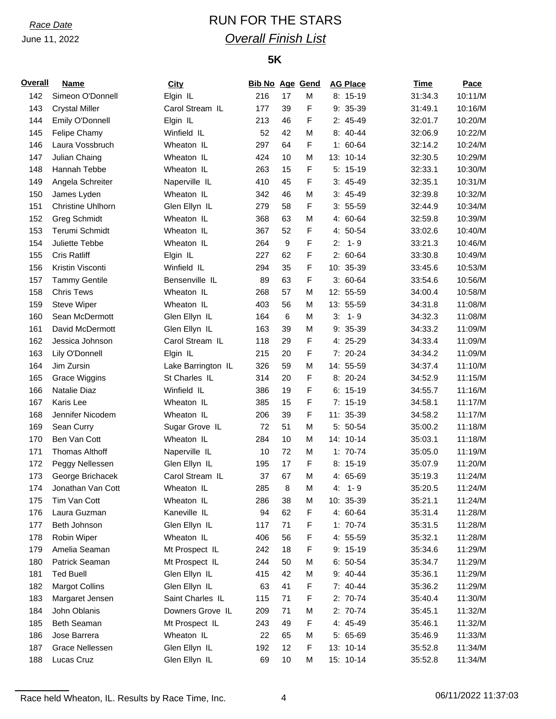# *Race Date* RUN FOR THE STARS *Overall Finish List*

## **5K**

| <b>Overall</b> | <b>Name</b>                | <b>City</b>        | <b>Bib No Age Gend</b> |    |   | <b>AG Place</b>       | Time    | Pace    |
|----------------|----------------------------|--------------------|------------------------|----|---|-----------------------|---------|---------|
| 142            | Simeon O'Donnell           | Elgin IL           | 216                    | 17 | M | $8: 15-19$            | 31:34.3 | 10:11/M |
| 143            | <b>Crystal Miller</b>      | Carol Stream IL    | 177                    | 39 | F | 9: 35-39              | 31:49.1 | 10:16/M |
| 144            | Emily O'Donnell            | Elgin IL           | 213                    | 46 | F | $2: 45-49$            | 32:01.7 | 10:20/M |
| 145            | Felipe Chamy               | Winfield IL        | 52                     | 42 | M | 8: 40-44              | 32:06.9 | 10:22/M |
| 146            | Laura Vossbruch            | Wheaton IL         | 297                    | 64 | F | $1: 60-64$            | 32:14.2 | 10:24/M |
| 147            | Julian Chaing              | Wheaton IL         | 424                    | 10 | M | 13: 10-14             | 32:30.5 | 10:29/M |
| 148            | Hannah Tebbe               | Wheaton IL         | 263                    | 15 | F | $5: 15-19$            | 32:33.1 | 10:30/M |
| 149            | Angela Schreiter           | Naperville IL      | 410                    | 45 | F | $3: 45-49$            | 32:35.1 | 10:31/M |
| 150            | James Lyden                | Wheaton IL         | 342                    | 46 | M | $3: 45-49$            | 32:39.8 | 10:32/M |
| 151            | <b>Christine Uhlhorn</b>   | Glen Ellyn IL      | 279                    | 58 | F | $3: 55-59$            | 32:44.9 | 10:34/M |
| 152            | <b>Greg Schmidt</b>        | Wheaton IL         | 368                    | 63 | M | 4: 60-64              | 32:59.8 | 10:39/M |
| 153            | Terumi Schmidt             | Wheaton IL         | 367                    | 52 | F | 4: 50-54              | 33:02.6 | 10:40/M |
| 154            | Juliette Tebbe             | Wheaton IL         | 264                    | 9  | F | $1 - 9$<br>2.         | 33:21.3 | 10:46/M |
| 155            | <b>Cris Ratliff</b>        | Elgin IL           | 227                    | 62 | F | $2: 60-64$            | 33:30.8 | 10:49/M |
| 156            | Kristin Visconti           | Winfield IL        | 294                    | 35 | F | 10: 35-39             | 33:45.6 | 10:53/M |
| 157            | <b>Tammy Gentile</b>       | Bensenville IL     | 89                     | 63 | F | $3:60-64$             | 33:54.6 | 10:56/M |
| 158            | <b>Chris Tews</b>          | Wheaton IL         | 268                    | 57 | M | 12: 55-59             | 34:00.4 | 10:58/M |
| 159            | <b>Steve Wiper</b>         | Wheaton IL         | 403                    | 56 | M | 13: 55-59             | 34:31.8 | 11:08/M |
| 160            | Sean McDermott             | Glen Ellyn IL      | 164                    | 6  | M | $3: 1 - 9$            | 34:32.3 | 11:08/M |
| 161            | David McDermott            | Glen Ellyn IL      | 163                    | 39 | M | $9: 35-39$            | 34:33.2 | 11:09/M |
| 162            | Jessica Johnson            | Carol Stream IL    | 118                    | 29 | F | 4: 25-29              | 34:33.4 | 11:09/M |
| 163            | Lily O'Donnell             | Elgin IL           | 215                    | 20 | F | 7: 20-24              | 34:34.2 | 11:09/M |
| 164            | Jim Zursin                 | Lake Barrington IL | 326                    | 59 | M | 14: 55-59             | 34:37.4 | 11:10/M |
| 165            | <b>Grace Wiggins</b>       | St Charles IL      | 314                    | 20 | F | 8: 20-24              | 34:52.9 | 11:15/M |
| 166            | Natalie Diaz               | Winfield IL        | 386                    | 19 | F | $6: 15-19$            | 34:55.7 | 11:16/M |
| 167            | Karis Lee                  | Wheaton IL         | 385                    | 15 | F | $7: 15-19$            | 34:58.1 | 11:17/M |
| 168            | Jennifer Nicodem           | Wheaton IL         | 206                    | 39 | F | 11: 35-39             | 34:58.2 | 11:17/M |
|                |                            |                    |                        |    | M |                       |         |         |
| 169            | Sean Curry<br>Ben Van Cott | Sugar Grove IL     | 72                     | 51 |   | 5: 50-54<br>14: 10-14 | 35:00.2 | 11:18/M |
| 170            | <b>Thomas Althoff</b>      | Wheaton IL         | 284                    | 10 | м |                       | 35:03.1 | 11:18/M |
| 171            |                            | Naperville IL      | 10                     | 72 | M | $1: 70-74$            | 35:05.0 | 11:19/M |
| 172            | Peggy Nellessen            | Glen Ellyn IL      | 195                    | 17 | F | $8: 15-19$            | 35:07.9 | 11:20/M |
| 173            | George Brichacek           | Carol Stream IL    | 37                     | 67 | M | 4: 65-69              | 35:19.3 | 11:24/M |
| 174            | Jonathan Van Cott          | Wheaton IL         | 285                    | 8  | M | $4: 1 - 9$            | 35:20.5 | 11:24/M |
| 175            | Tim Van Cott               | Wheaton IL         | 286                    | 38 | M | 10: 35-39             | 35:21.1 | 11:24/M |
| 176            | Laura Guzman               | Kaneville IL       | 94                     | 62 | F | 4: 60-64              | 35:31.4 | 11:28/M |
| 177            | Beth Johnson               | Glen Ellyn IL      | 117                    | 71 | F | $1: 70-74$            | 35:31.5 | 11:28/M |
| 178            | Robin Wiper                | Wheaton IL         | 406                    | 56 | F | 4: 55-59              | 35:32.1 | 11:28/M |
| 179            | Amelia Seaman              | Mt Prospect IL     | 242                    | 18 | F | $9: 15-19$            | 35:34.6 | 11:29/M |
| 180            | Patrick Seaman             | Mt Prospect IL     | 244                    | 50 | M | $6: 50-54$            | 35:34.7 | 11:29/M |
| 181            | <b>Ted Buell</b>           | Glen Ellyn IL      | 415                    | 42 | M | 9: 40-44              | 35:36.1 | 11:29/M |
| 182            | <b>Margot Collins</b>      | Glen Ellyn IL      | 63                     | 41 | F | 7: 40-44              | 35:36.2 | 11:29/M |
| 183            | Margaret Jensen            | Saint Charles IL   | 115                    | 71 | F | 2: 70-74              | 35:40.4 | 11:30/M |
| 184            | John Oblanis               | Downers Grove IL   | 209                    | 71 | M | 2: 70-74              | 35:45.1 | 11:32/M |
| 185            | Beth Seaman                | Mt Prospect IL     | 243                    | 49 | F | 4: 45-49              | 35:46.1 | 11:32/M |
| 186            | Jose Barrera               | Wheaton IL         | 22                     | 65 | M | 5: 65-69              | 35:46.9 | 11:33/M |
| 187            | Grace Nellessen            | Glen Ellyn IL      | 192                    | 12 | F | 13: 10-14             | 35:52.8 | 11:34/M |
| 188            | Lucas Cruz                 | Glen Ellyn IL      | 69                     | 10 | M | 15: 10-14             | 35:52.8 | 11:34/M |

Race held Wheaton, IL. Results by Race Time, Inc. 4 06/11/2022 11:37:03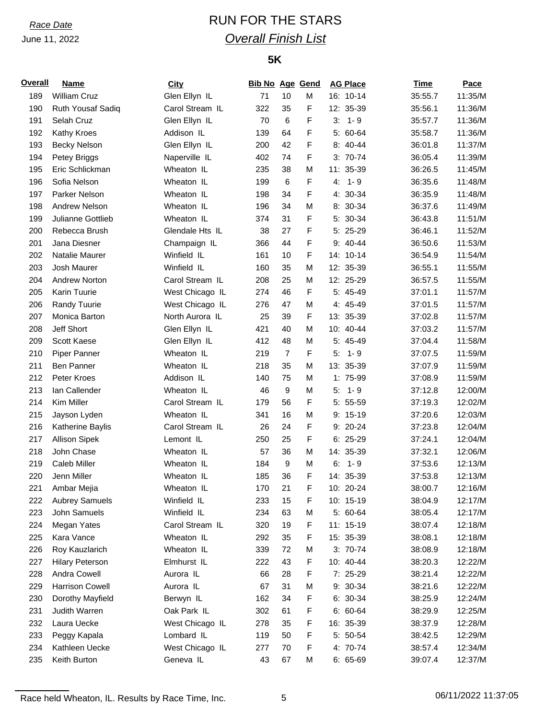# *Race Date* RUN FOR THE STARS *Overall Finish List*

## **5K**

| <b>Overall</b> | <b>Name</b>            | <b>City</b>     | <b>Bib No Age Gend</b> |                  |             | <b>AG Place</b> | <b>Time</b> | Pace    |
|----------------|------------------------|-----------------|------------------------|------------------|-------------|-----------------|-------------|---------|
| 189            | <b>William Cruz</b>    | Glen Ellyn IL   | 71                     | 10               | M           | 16: 10-14       | 35:55.7     | 11:35/M |
| 190            | Ruth Yousaf Sadiq      | Carol Stream IL | 322                    | 35               | F           | 12: 35-39       | 35:56.1     | 11:36/M |
| 191            | Selah Cruz             | Glen Ellyn IL   | 70                     | $\,6\,$          | F           | $3: 1 - 9$      | 35:57.7     | 11:36/M |
| 192            | Kathy Kroes            | Addison IL      | 139                    | 64               | F           | 5: 60-64        | 35:58.7     | 11:36/M |
| 193            | <b>Becky Nelson</b>    | Glen Ellyn IL   | 200                    | 42               | F           | 8: 40-44        | 36:01.8     | 11:37/M |
| 194            | Petey Briggs           | Naperville IL   | 402                    | 74               | F           | $3: 70-74$      | 36:05.4     | 11:39/M |
| 195            | Eric Schlickman        | Wheaton IL      | 235                    | 38               | M           | 11: 35-39       | 36:26.5     | 11:45/M |
| 196            | Sofia Nelson           | Wheaton IL      | 199                    | $\,6\,$          | F           | $1 - 9$<br>4.   | 36:35.6     | 11:48/M |
| 197            | Parker Nelson          | Wheaton IL      | 198                    | 34               | F           | 4: 30-34        | 36:35.9     | 11:48/M |
| 198            | <b>Andrew Nelson</b>   | Wheaton IL      | 196                    | 34               | M           | 8: 30-34        | 36:37.6     | 11:49/M |
| 199            | Julianne Gottlieb      | Wheaton IL      | 374                    | 31               | F           | 5: 30-34        | 36:43.8     | 11:51/M |
| 200            | Rebecca Brush          | Glendale Hts IL | 38                     | 27               | F           | 5: 25-29        | 36:46.1     | 11:52/M |
| 201            | Jana Diesner           | Champaign IL    | 366                    | 44               | F           | $9: 40 - 44$    | 36:50.6     | 11:53/M |
| 202            | Natalie Maurer         | Winfield IL     | 161                    | 10               | F           | 14: 10-14       | 36:54.9     | 11:54/M |
| 203            | Josh Maurer            | Winfield IL     | 160                    | 35               | М           | 12: 35-39       | 36:55.1     | 11:55/M |
| 204            | <b>Andrew Norton</b>   | Carol Stream IL | 208                    | 25               | М           | 12: 25-29       | 36:57.5     | 11:55/M |
| 205            | Karin Tuurie           | West Chicago IL | 274                    | 46               | F           | 5: 45-49        | 37:01.1     | 11:57/M |
| 206            | Randy Tuurie           | West Chicago IL | 276                    | 47               | M           | 4: 45-49        | 37:01.5     | 11:57/M |
| 207            | Monica Barton          | North Aurora IL | 25                     | 39               | F           | 13: 35-39       | 37:02.8     | 11:57/M |
| 208            | Jeff Short             | Glen Ellyn IL   | 421                    | 40               | M           | 10: 40-44       | 37:03.2     | 11:57/M |
| 209            | Scott Kaese            | Glen Ellyn IL   | 412                    | 48               | М           | 5: 45-49        | 37:04.4     | 11:58/M |
| 210            | Piper Panner           | Wheaton IL      | 219                    | $\overline{7}$   | F           | 5:<br>$1 - 9$   | 37:07.5     | 11:59/M |
| 211            | Ben Panner             | Wheaton IL      | 218                    | 35               | М           | 13: 35-39       | 37:07.9     | 11:59/M |
| 212            | Peter Kroes            | Addison IL      | 140                    | 75               | М           | 1: 75-99        | 37:08.9     | 11:59/M |
| 213            | lan Callender          | Wheaton IL      | 46                     | 9                | М           | $1 - 9$<br>5:   | 37:12.8     | 12:00/M |
| 214            | Kim Miller             | Carol Stream IL | 179                    | 56               | F           | 5: 55-59        | 37:19.3     | 12:02/M |
|                |                        |                 |                        |                  |             |                 |             | 12:03/M |
| 215            | Jayson Lyden           | Wheaton IL      | 341                    | 16               | M           | $9: 15-19$      | 37:20.6     |         |
| 216            | Katherine Baylis       | Carol Stream IL | 26                     | 24               | F           | 9: 20-24        | 37:23.8     | 12:04/M |
| 217            | <b>Allison Sipek</b>   | Lemont IL       | 250                    | 25               | F           | $6: 25-29$      | 37:24.1     | 12:04/M |
| 218            | John Chase             | Wheaton IL      | 57                     | 36               | М           | 14: 35-39       | 37:32.1     | 12:06/M |
| 219            | Caleb Miller           | Wheaton IL      | 184                    | $\boldsymbol{9}$ | М           | 1-9<br>6.       | 37:53.6     | 12:13/M |
| 220            | Jenn Miller            | Wheaton IL      | 185                    | 36               | F           | 14: 35-39       | 37:53.8     | 12:13/M |
| 221            | Ambar Mejia            | Wheaton IL      | 170                    | 21               | $\mathsf F$ | 10: 20-24       | 38:00.7     | 12:16/M |
| 222            | <b>Aubrey Samuels</b>  | Winfield IL     | 233                    | 15               | F           | 10: 15-19       | 38:04.9     | 12:17/M |
| 223            | John Samuels           | Winfield IL     | 234                    | 63               | М           | 5: 60-64        | 38:05.4     | 12:17/M |
| 224            | Megan Yates            | Carol Stream IL | 320                    | 19               | F           | 11: 15-19       | 38:07.4     | 12:18/M |
| 225            | Kara Vance             | Wheaton IL      | 292                    | 35               | F           | 15: 35-39       | 38:08.1     | 12:18/M |
| 226            | Roy Kauzlarich         | Wheaton IL      | 339                    | 72               | М           | $3: 70-74$      | 38:08.9     | 12:18/M |
| 227            | <b>Hilary Peterson</b> | Elmhurst IL     | 222                    | 43               | F           | 10: 40-44       | 38:20.3     | 12:22/M |
| 228            | Andra Cowell           | Aurora IL       | 66                     | 28               | F           | 7: 25-29        | 38:21.4     | 12:22/M |
| 229            | <b>Harrison Cowell</b> | Aurora IL       | 67                     | 31               | M           | 9: 30-34        | 38:21.6     | 12:22/M |
| 230            | Dorothy Mayfield       | Berwyn IL       | 162                    | 34               | F           | $6: 30-34$      | 38:25.9     | 12:24/M |
| 231            | Judith Warren          | Oak Park IL     | 302                    | 61               | F           | $6: 60-64$      | 38:29.9     | 12:25/M |
| 232            | Laura Uecke            | West Chicago IL | 278                    | 35               | F           | 16: 35-39       | 38:37.9     | 12:28/M |
| 233            | Peggy Kapala           | Lombard IL      | 119                    | 50               | F           | 5: 50-54        | 38:42.5     | 12:29/M |
| 234            | Kathleen Uecke         | West Chicago IL | 277                    | 70               | F           | 4: 70-74        | 38:57.4     | 12:34/M |
| 235            | Keith Burton           | Geneva IL       | 43                     | 67               | М           | $6: 65-69$      | 39:07.4     | 12:37/M |

Race held Wheaton, IL. Results by Race Time, Inc. 6 06/11/2022 11:37:05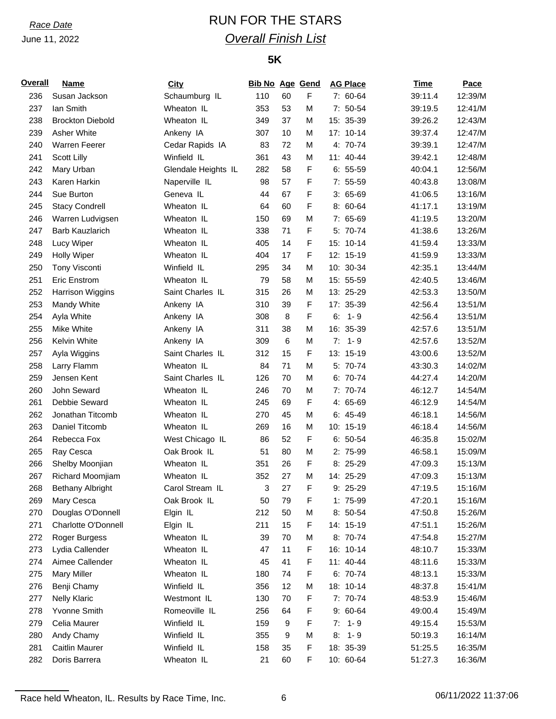# *Race Date* RUN FOR THE STARS *Overall Finish List*

## **5K**

| Overall | <b>Name</b>                 | <b>City</b>         | <b>Bib No Age Gend</b> |    |   | <b>AG Place</b> | <b>Time</b> | <b>Pace</b> |
|---------|-----------------------------|---------------------|------------------------|----|---|-----------------|-------------|-------------|
| 236     | Susan Jackson               | Schaumburg IL       | 110                    | 60 | F | 7: 60-64        | 39:11.4     | 12:39/M     |
| 237     | lan Smith                   | Wheaton IL          | 353                    | 53 | M | 7: 50-54        | 39:19.5     | 12:41/M     |
| 238     | <b>Brockton Diebold</b>     | Wheaton IL          | 349                    | 37 | М | 15: 35-39       | 39:26.2     | 12:43/M     |
| 239     | Asher White                 | Ankeny IA           | 307                    | 10 | M | 17: 10-14       | 39:37.4     | 12:47/M     |
| 240     | <b>Warren Feerer</b>        | Cedar Rapids IA     | 83                     | 72 | M | 4: 70-74        | 39:39.1     | 12:47/M     |
| 241     | Scott Lilly                 | Winfield IL         | 361                    | 43 | M | 11: 40-44       | 39:42.1     | 12:48/M     |
| 242     | Mary Urban                  | Glendale Heights IL | 282                    | 58 | F | $6: 55-59$      | 40:04.1     | 12:56/M     |
| 243     | Karen Harkin                | Naperville IL       | 98                     | 57 | F | $7: 55-59$      | 40:43.8     | 13:08/M     |
| 244     | Sue Burton                  | Geneva IL           | 44                     | 67 | F | $3:65-69$       | 41:06.5     | 13:16/M     |
| 245     | <b>Stacy Condrell</b>       | Wheaton IL          | 64                     | 60 | F | 8: 60-64        | 41:17.1     | 13:19/M     |
| 246     | Warren Ludvigsen            | Wheaton IL          | 150                    | 69 | M | 7: 65-69        | 41:19.5     | 13:20/M     |
| 247     | <b>Barb Kauzlarich</b>      | Wheaton IL          | 338                    | 71 | F | 5: 70-74        | 41:38.6     | 13:26/M     |
| 248     | Lucy Wiper                  | Wheaton IL          | 405                    | 14 | F | 15: 10-14       | 41:59.4     | 13:33/M     |
| 249     | <b>Holly Wiper</b>          | Wheaton IL          | 404                    | 17 | F | 12: 15-19       | 41:59.9     | 13:33/M     |
| 250     | Tony Visconti               | Winfield IL         | 295                    | 34 | M | 10: 30-34       | 42:35.1     | 13:44/M     |
| 251     | <b>Eric Enstrom</b>         | Wheaton IL          | 79                     | 58 | M | 15: 55-59       | 42:40.5     | 13:46/M     |
| 252     | Harrison Wiggins            | Saint Charles IL    | 315                    | 26 | M | 13: 25-29       | 42:53.3     | 13:50/M     |
| 253     | Mandy White                 | Ankeny IA           | 310                    | 39 | F | 17: 35-39       | 42:56.4     | 13:51/M     |
| 254     | Ayla White                  | Ankeny IA           | 308                    | 8  | F | $1 - 9$<br>6:   | 42:56.4     | 13:51/M     |
| 255     | Mike White                  | Ankeny IA           | 311                    | 38 | M | 16: 35-39       | 42:57.6     | 13:51/M     |
| 256     | Kelvin White                | Ankeny IA           | 309                    | 6  | M | $1 - 9$<br>7:   | 42:57.6     | 13:52/M     |
| 257     |                             | Saint Charles IL    | 312                    | 15 | F | 13: 15-19       | 43:00.6     | 13:52/M     |
| 258     | Ayla Wiggins<br>Larry Flamm | Wheaton IL          | 84                     | 71 | M | 5: 70-74        | 43:30.3     | 14:02/M     |
|         |                             |                     |                        |    |   |                 |             | 14:20/M     |
| 259     | Jensen Kent                 | Saint Charles IL    | 126                    | 70 | M | 6: 70-74        | 44:27.4     |             |
| 260     | John Seward                 | Wheaton IL          | 246                    | 70 | M | 7: 70-74        | 46:12.7     | 14:54/M     |
| 261     | Debbie Seward               | Wheaton IL          | 245                    | 69 | F | 4: 65-69        | 46:12.9     | 14:54/M     |
| 262     | Jonathan Titcomb            | Wheaton IL          | 270                    | 45 | M | $6: 45-49$      | 46:18.1     | 14:56/M     |
| 263     | Daniel Titcomb              | Wheaton IL          | 269                    | 16 | M | 10: 15-19       | 46:18.4     | 14:56/M     |
| 264     | Rebecca Fox                 | West Chicago IL     | 86                     | 52 | F | $6: 50-54$      | 46:35.8     | 15:02/M     |
| 265     | Ray Cesca                   | Oak Brook IL        | 51                     | 80 | M | 2: 75-99        | 46:58.1     | 15:09/M     |
| 266     | Shelby Moonjian             | Wheaton IL          | 351                    | 26 | F | $8:25-29$       | 47:09.3     | 15:13/M     |
| 267     | Richard Moomjiam            | Wheaton IL          | 352                    | 27 | M | 14: 25-29       | 47:09.3     | 15:13/M     |
| 268     | <b>Bethany Albright</b>     | Carol Stream IL     | 3                      | 27 | F | $9:25-29$       | 47:19.5     | 15:16/M     |
| 269     | Mary Cesca                  | Oak Brook IL        | 50                     | 79 | F | 1: 75-99        | 47:20.1     | 15:16/M     |
| 270     | Douglas O'Donnell           | Elgin IL            | 212                    | 50 | M | 8: 50-54        | 47:50.8     | 15:26/M     |
| 271     | Charlotte O'Donnell         | Elgin IL            | 211                    | 15 | F | 14: 15-19       | 47:51.1     | 15:26/M     |
| 272     | Roger Burgess               | Wheaton IL          | 39                     | 70 | M | 8: 70-74        | 47:54.8     | 15:27/M     |
| 273     | Lydia Callender             | Wheaton IL          | 47                     | 11 | F | 16: 10-14       | 48:10.7     | 15:33/M     |
| 274     | Aimee Callender             | Wheaton IL          | 45                     | 41 | F | 11: 40-44       | 48:11.6     | 15:33/M     |
| 275     | <b>Mary Miller</b>          | Wheaton IL          | 180                    | 74 | F | 6: 70-74        | 48:13.1     | 15:33/M     |
| 276     | Benji Chamy                 | Winfield IL         | 356                    | 12 | M | 18: 10-14       | 48:37.8     | 15:41/M     |
| 277     | <b>Nelly Klaric</b>         | Westmont IL         | 130                    | 70 | F | 7: 70-74        | 48:53.9     | 15:46/M     |
| 278     | Yvonne Smith                | Romeoville IL       | 256                    | 64 | F | $9:60-64$       | 49:00.4     | 15:49/M     |
| 279     | Celia Maurer                | Winfield IL         | 159                    | 9  | F | $1 - 9$<br>7:   | 49:15.4     | 15:53/M     |
| 280     | Andy Chamy                  | Winfield IL         | 355                    | 9  | M | $1 - 9$<br>8:   | 50:19.3     | 16:14/M     |
| 281     | <b>Caitlin Maurer</b>       | Winfield IL         | 158                    | 35 | F | 18: 35-39       | 51:25.5     | 16:35/M     |
| 282     | Doris Barrera               | Wheaton IL          | 21                     | 60 | F | 10: 60-64       | 51:27.3     | 16:36/M     |

Race held Wheaton, IL. Results by Race Time, Inc. 6 06/11/2022 11:37:06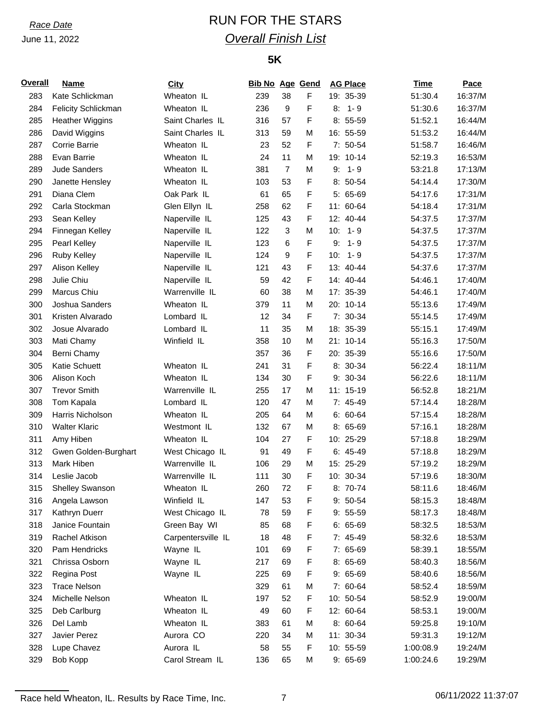# *Race Date* RUN FOR THE STARS *Overall Finish List*

## **5K**

| <b>Overall</b> | <b>Name</b>                | City               | <b>Bib No Age Gend</b> |                |             | <b>AG Place</b> | <b>Time</b> | Pace    |
|----------------|----------------------------|--------------------|------------------------|----------------|-------------|-----------------|-------------|---------|
| 283            | Kate Schlickman            | Wheaton IL         | 239                    | 38             | F           | 19: 35-39       | 51:30.4     | 16:37/M |
| 284            | <b>Felicity Schlickman</b> | Wheaton IL         | 236                    | 9              | F           | $8: 1 - 9$      | 51:30.6     | 16:37/M |
| 285            | <b>Heather Wiggins</b>     | Saint Charles IL   | 316                    | 57             | F           | $8:55-59$       | 51:52.1     | 16:44/M |
| 286            | David Wiggins              | Saint Charles IL   | 313                    | 59             | M           | 16: 55-59       | 51:53.2     | 16:44/M |
| 287            | Corrie Barrie              | Wheaton IL         | 23                     | 52             | F           | 7: 50-54        | 51:58.7     | 16:46/M |
| 288            | Evan Barrie                | Wheaton IL         | 24                     | 11             | M           | 19: 10-14       | 52:19.3     | 16:53/M |
| 289            | <b>Jude Sanders</b>        | Wheaton IL         | 381                    | $\overline{7}$ | M           | $1 - 9$<br>9:   | 53:21.8     | 17:13/M |
| 290            | Janette Hensley            | Wheaton IL         | 103                    | 53             | F           | 8: 50-54        | 54:14.4     | 17:30/M |
| 291            | Diana Clem                 | Oak Park IL        | 61                     | 65             | F           | 5: 65-69        | 54:17.6     | 17:31/M |
| 292            | Carla Stockman             | Glen Ellyn IL      | 258                    | 62             | F           | 11: 60-64       | 54:18.4     | 17:31/M |
| 293            | Sean Kelley                | Naperville IL      | 125                    | 43             | F           | 12: 40-44       | 54:37.5     | 17:37/M |
| 294            | Finnegan Kelley            | Naperville IL      | 122                    | $\mathbf{3}$   | M           | 10:<br>$1 - 9$  | 54:37.5     | 17:37/M |
| 295            | Pearl Kelley               | Naperville IL      | 123                    | 6              | F           | 9:<br>$1 - 9$   | 54:37.5     | 17:37/M |
| 296            | Ruby Kelley                | Naperville IL      | 124                    | 9              | F           | $10: 1 - 9$     | 54:37.5     | 17:37/M |
| 297            | Alison Kelley              | Naperville IL      | 121                    | 43             | F           | 13: 40-44       | 54:37.6     | 17:37/M |
| 298            | Julie Chiu                 | Naperville IL      | 59                     | 42             | F           | 14: 40-44       | 54:46.1     | 17:40/M |
| 299            | Marcus Chiu                | Warrenville IL     | 60                     | 38             | M           | 17: 35-39       | 54:46.1     | 17:40/M |
| 300            | Joshua Sanders             | Wheaton IL         | 379                    | 11             | M           | 20: 10-14       | 55:13.6     | 17:49/M |
| 301            | Kristen Alvarado           | Lombard IL         | 12                     | 34             | F           | 7: 30-34        | 55:14.5     | 17:49/M |
| 302            | Josue Alvarado             | Lombard IL         | 11                     | 35             | M           | 18: 35-39       | 55:15.1     | 17:49/M |
| 303            | Mati Chamy                 | Winfield IL        | 358                    | 10             | M           | 21: 10-14       | 55:16.3     | 17:50/M |
| 304            | Berni Chamy                |                    | 357                    | 36             | F           | 20: 35-39       | 55:16.6     | 17:50/M |
| 305            | Katie Schuett              | Wheaton IL         | 241                    | 31             | F           | 8: 30-34        | 56:22.4     | 18:11/M |
| 306            | Alison Koch                | Wheaton IL         | 134                    | 30             | F           | 9: 30-34        | 56:22.6     | 18:11/M |
| 307            | <b>Trevor Smith</b>        | Warrenville IL     | 255                    | 17             | M           | 11: 15-19       | 56:52.8     | 18:21/M |
| 308            | Tom Kapala                 | Lombard IL         | 120                    | 47             | M           | 7: 45-49        | 57:14.4     | 18:28/M |
| 309            | Harris Nicholson           | Wheaton IL         | 205                    | 64             | M           | $6: 60-64$      | 57:15.4     | 18:28/M |
| 310            | <b>Walter Klaric</b>       | Westmont IL        | 132                    | 67             | M           | $8:65-69$       | 57:16.1     | 18:28/M |
| 311            | Amy Hiben                  | Wheaton IL         | 104                    | 27             | F           | 10: 25-29       | 57:18.8     | 18:29/M |
| 312            | Gwen Golden-Burghart       | West Chicago IL    | 91                     | 49             | F           | $6: 45-49$      | 57:18.8     | 18:29/M |
| 313            | Mark Hiben                 | Warrenville IL     | 106                    | 29             | M           | 15: 25-29       | 57:19.2     | 18:29/M |
| 314            | Leslie Jacob               | Warrenville IL     | 111                    | 30             | $\mathsf F$ | 10: 30-34       | 57:19.6     | 18:30/M |
| 315            | Shelley Swanson            | Wheaton IL         | 260                    | 72             | F           | 8: 70-74        | 58:11.6     | 18:46/M |
| 316            | Angela Lawson              | Winfield IL        | 147                    | 53             | F           | 9: 50-54        | 58:15.3     | 18:48/M |
| 317            | Kathryn Duerr              | West Chicago IL    | 78                     | 59             | F           | $9:55-59$       | 58:17.3     | 18:48/M |
| 318            | Janice Fountain            | Green Bay WI       | 85                     | 68             | F           | $6: 65-69$      | 58:32.5     | 18:53/M |
| 319            | Rachel Atkison             | Carpentersville IL | 18                     | 48             | F           | 7: 45-49        | 58:32.6     | 18:53/M |
| 320            | Pam Hendricks              | Wayne IL           | 101                    | 69             | F           | 7: 65-69        | 58:39.1     | 18:55/M |
| 321            | Chrissa Osborn             | Wayne IL           | 217                    | 69             | F           | 8: 65-69        | 58:40.3     | 18:56/M |
| 322            | Regina Post                | Wayne IL           | 225                    | 69             | F           | $9:65-69$       | 58:40.6     | 18:56/M |
| 323            | <b>Trace Nelson</b>        |                    | 329                    | 61             | M           | 7: 60-64        | 58:52.4     | 18:59/M |
| 324            | Michelle Nelson            | Wheaton IL         | 197                    | 52             | F           | 10: 50-54       | 58:52.9     | 19:00/M |
| 325            | Deb Carlburg               | Wheaton IL         | 49                     | 60             | F           | 12: 60-64       | 58:53.1     | 19:00/M |
| 326            | Del Lamb                   | Wheaton IL         | 383                    | 61             | M           | 8: 60-64        | 59:25.8     | 19:10/M |
| 327            | Javier Perez               | Aurora CO          | 220                    | 34             | M           | 11: 30-34       | 59:31.3     | 19:12/M |
| 328            | Lupe Chavez                | Aurora IL          | 58                     | 55             | F           | 10: 55-59       | 1:00:08.9   | 19:24/M |
| 329            | Bob Kopp                   | Carol Stream IL    | 136                    | 65             | M           | 9: 65-69        | 1:00:24.6   | 19:29/M |

Race held Wheaton, IL. Results by Race Time, Inc. 7 7 06/11/2022 11:37:07